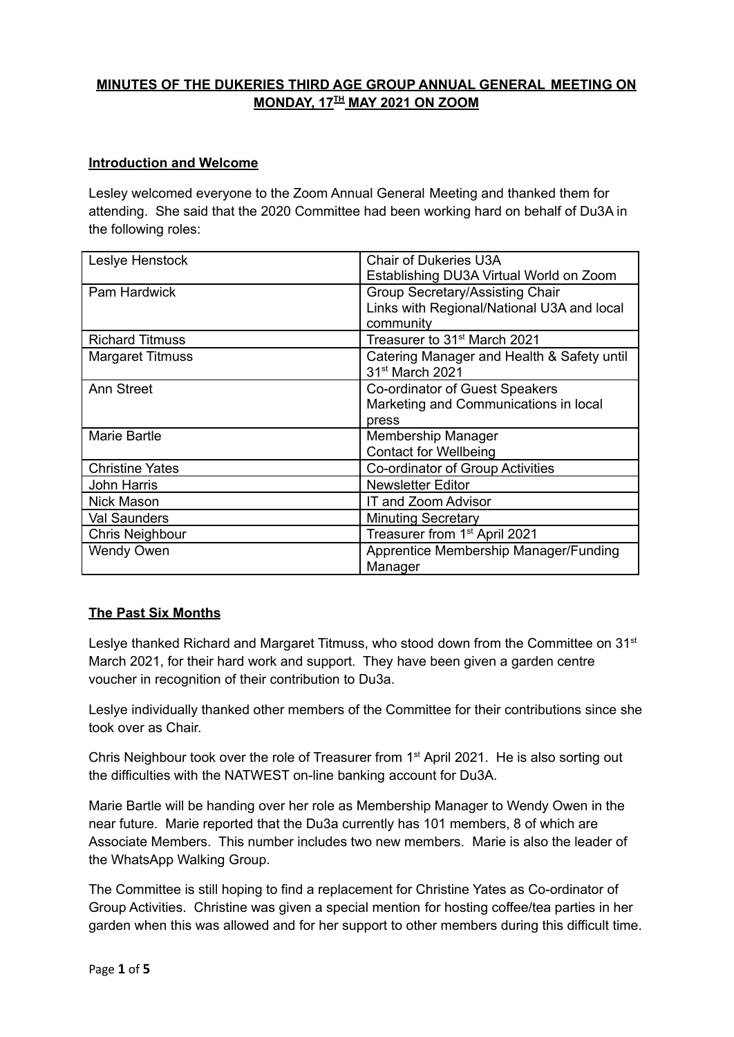# **MINUTES OF THE DUKERIES THIRD AGE GROUP ANNUAL GENERAL MEETING ON MONDAY, 17 TH MAY 2021 ON ZOOM**

### **Introduction and Welcome**

Lesley welcomed everyone to the Zoom Annual General Meeting and thanked them for attending. She said that the 2020 Committee had been working hard on behalf of Du3A in the following roles:

| Leslye Henstock         | <b>Chair of Dukeries U3A</b>               |
|-------------------------|--------------------------------------------|
|                         | Establishing DU3A Virtual World on Zoom    |
| Pam Hardwick            | Group Secretary/Assisting Chair            |
|                         | Links with Regional/National U3A and local |
|                         | community                                  |
| <b>Richard Titmuss</b>  | Treasurer to 31 <sup>st</sup> March 2021   |
| <b>Margaret Titmuss</b> | Catering Manager and Health & Safety until |
|                         | 31 <sup>st</sup> March 2021                |
| <b>Ann Street</b>       | Co-ordinator of Guest Speakers             |
|                         | Marketing and Communications in local      |
|                         | press                                      |
| Marie Bartle            | Membership Manager                         |
|                         | <b>Contact for Wellbeing</b>               |
| <b>Christine Yates</b>  | Co-ordinator of Group Activities           |
| John Harris             | <b>Newsletter Editor</b>                   |
| <b>Nick Mason</b>       | IT and Zoom Advisor                        |
| Val Saunders            | <b>Minuting Secretary</b>                  |
| Chris Neighbour         | Treasurer from 1 <sup>st</sup> April 2021  |
| <b>Wendy Owen</b>       | Apprentice Membership Manager/Funding      |
|                         | Manager                                    |

# **The Past Six Months**

Leslye thanked Richard and Margaret Titmuss, who stood down from the Committee on 31<sup>st</sup> March 2021, for their hard work and support. They have been given a garden centre voucher in recognition of their contribution to Du3a.

Leslye individually thanked other members of the Committee for their contributions since she took over as Chair.

Chris Neighbour took over the role of Treasurer from 1<sup>st</sup> April 2021. He is also sorting out the difficulties with the NATWEST on-line banking account for Du3A.

Marie Bartle will be handing over her role as Membership Manager to Wendy Owen in the near future. Marie reported that the Du3a currently has 101 members, 8 of which are Associate Members. This number includes two new members. Marie is also the leader of the WhatsApp Walking Group.

The Committee is still hoping to find a replacement for Christine Yates as Co-ordinator of Group Activities. Christine was given a special mention for hosting coffee/tea parties in her garden when this was allowed and for her support to other members during this difficult time.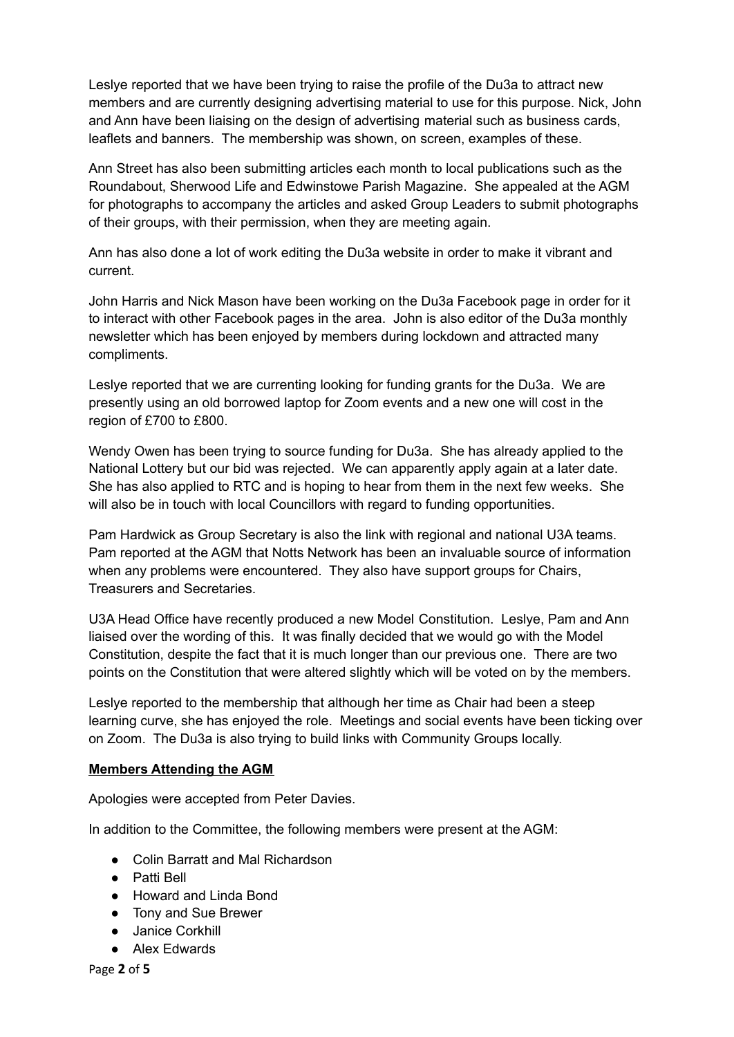Leslye reported that we have been trying to raise the profile of the Du3a to attract new members and are currently designing advertising material to use for this purpose. Nick, John and Ann have been liaising on the design of advertising material such as business cards, leaflets and banners. The membership was shown, on screen, examples of these.

Ann Street has also been submitting articles each month to local publications such as the Roundabout, Sherwood Life and Edwinstowe Parish Magazine. She appealed at the AGM for photographs to accompany the articles and asked Group Leaders to submit photographs of their groups, with their permission, when they are meeting again.

Ann has also done a lot of work editing the Du3a website in order to make it vibrant and current.

John Harris and Nick Mason have been working on the Du3a Facebook page in order for it to interact with other Facebook pages in the area. John is also editor of the Du3a monthly newsletter which has been enjoyed by members during lockdown and attracted many compliments.

Leslye reported that we are currenting looking for funding grants for the Du3a. We are presently using an old borrowed laptop for Zoom events and a new one will cost in the region of £700 to £800.

Wendy Owen has been trying to source funding for Du3a. She has already applied to the National Lottery but our bid was rejected. We can apparently apply again at a later date. She has also applied to RTC and is hoping to hear from them in the next few weeks. She will also be in touch with local Councillors with regard to funding opportunities.

Pam Hardwick as Group Secretary is also the link with regional and national U3A teams. Pam reported at the AGM that Notts Network has been an invaluable source of information when any problems were encountered. They also have support groups for Chairs, Treasurers and Secretaries.

U3A Head Office have recently produced a new Model Constitution. Leslye, Pam and Ann liaised over the wording of this. It was finally decided that we would go with the Model Constitution, despite the fact that it is much longer than our previous one. There are two points on the Constitution that were altered slightly which will be voted on by the members.

Leslye reported to the membership that although her time as Chair had been a steep learning curve, she has enjoyed the role. Meetings and social events have been ticking over on Zoom. The Du3a is also trying to build links with Community Groups locally.

### **Members Attending the AGM**

Apologies were accepted from Peter Davies.

In addition to the Committee, the following members were present at the AGM:

- Colin Barratt and Mal Richardson
- Patti Bell
- Howard and Linda Bond
- Tony and Sue Brewer
- Janice Corkhill
- Alex Edwards

Page **2** of **5**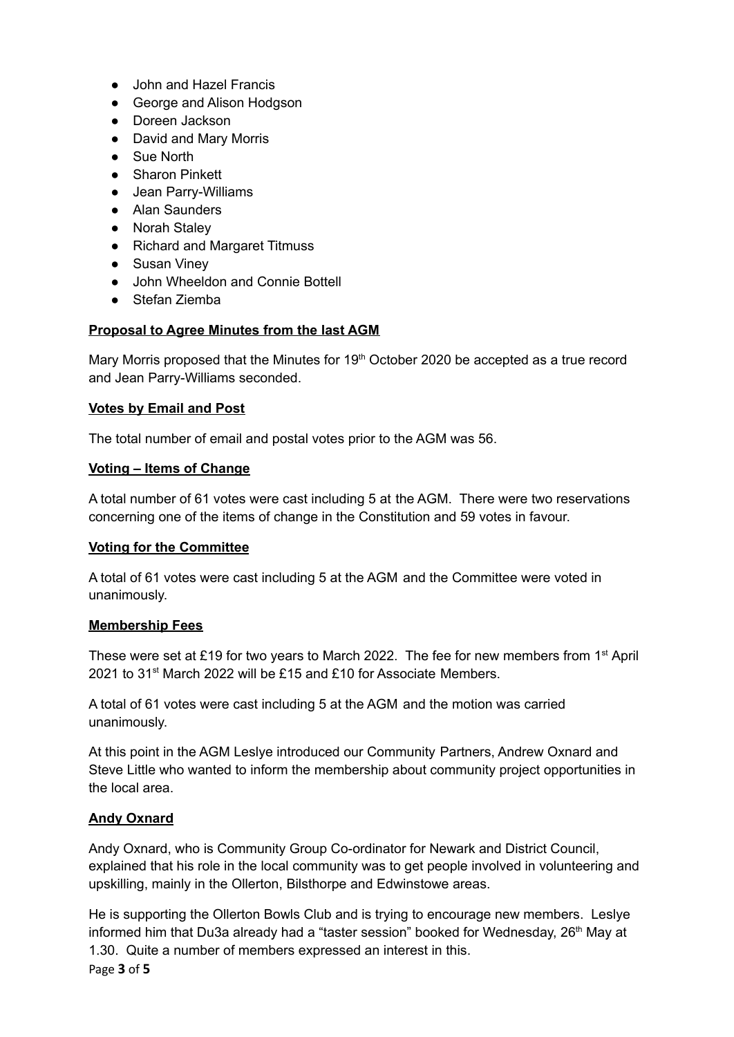- John and Hazel Francis
- George and Alison Hodgson
- Doreen Jackson
- David and Mary Morris
- Sue North
- Sharon Pinkett
- Jean Parry-Williams
- Alan Saunders
- Norah Staley
- Richard and Margaret Titmuss
- Susan Vinev
- John Wheeldon and Connie Bottell
- Stefan Ziemba

## **Proposal to Agree Minutes from the last AGM**

Mary Morris proposed that the Minutes for 19<sup>th</sup> October 2020 be accepted as a true record and Jean Parry-Williams seconded.

## **Votes by Email and Post**

The total number of email and postal votes prior to the AGM was 56.

### **Voting – Items of Change**

A total number of 61 votes were cast including 5 at the AGM. There were two reservations concerning one of the items of change in the Constitution and 59 votes in favour.

### **Voting for the Committee**

A total of 61 votes were cast including 5 at the AGM and the Committee were voted in unanimously.

### **Membership Fees**

These were set at £19 for two years to March 2022. The fee for new members from 1<sup>st</sup> April 2021 to 31<sup>st</sup> March 2022 will be £15 and £10 for Associate Members.

A total of 61 votes were cast including 5 at the AGM and the motion was carried unanimously.

At this point in the AGM Leslye introduced our Community Partners, Andrew Oxnard and Steve Little who wanted to inform the membership about community project opportunities in the local area.

### **Andy Oxnard**

Andy Oxnard, who is Community Group Co-ordinator for Newark and District Council, explained that his role in the local community was to get people involved in volunteering and upskilling, mainly in the Ollerton, Bilsthorpe and Edwinstowe areas.

He is supporting the Ollerton Bowls Club and is trying to encourage new members. Leslye informed him that Du3a already had a "taster session" booked for Wednesday, 26<sup>th</sup> May at 1.30. Quite a number of members expressed an interest in this. Page **3** of **5**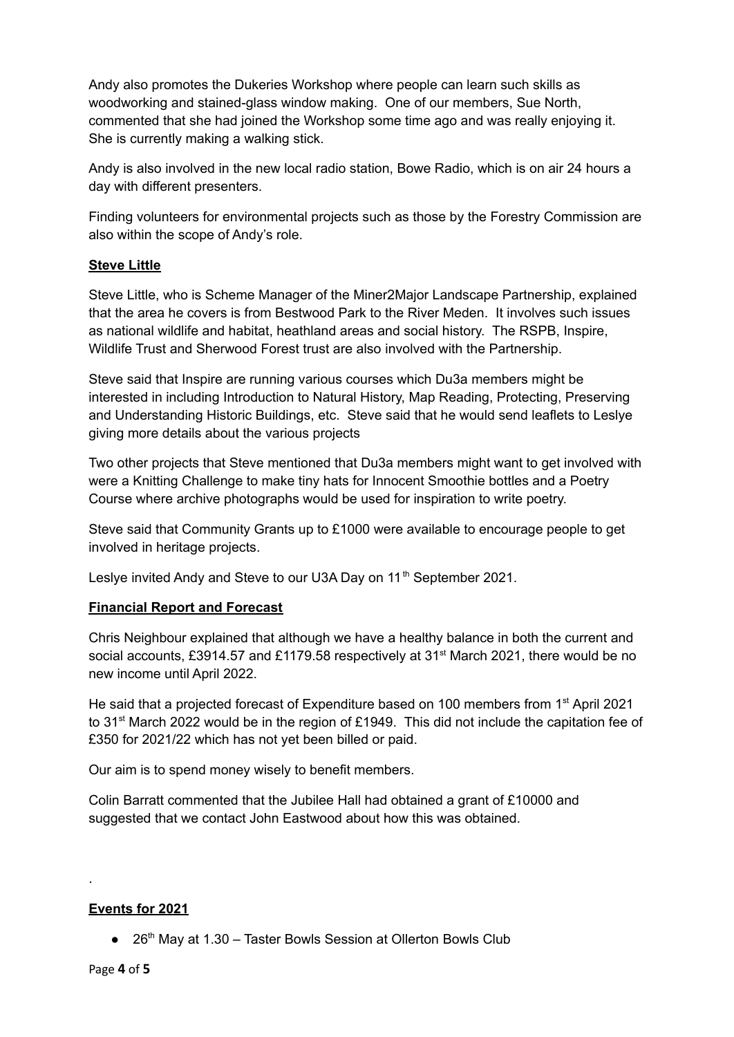Andy also promotes the Dukeries Workshop where people can learn such skills as woodworking and stained-glass window making. One of our members, Sue North, commented that she had joined the Workshop some time ago and was really enjoying it. She is currently making a walking stick.

Andy is also involved in the new local radio station, Bowe Radio, which is on air 24 hours a day with different presenters.

Finding volunteers for environmental projects such as those by the Forestry Commission are also within the scope of Andy's role.

### **Steve Little**

Steve Little, who is Scheme Manager of the Miner2Major Landscape Partnership, explained that the area he covers is from Bestwood Park to the River Meden. It involves such issues as national wildlife and habitat, heathland areas and social history. The RSPB, Inspire, Wildlife Trust and Sherwood Forest trust are also involved with the Partnership.

Steve said that Inspire are running various courses which Du3a members might be interested in including Introduction to Natural History, Map Reading, Protecting, Preserving and Understanding Historic Buildings, etc. Steve said that he would send leaflets to Leslye giving more details about the various projects

Two other projects that Steve mentioned that Du3a members might want to get involved with were a Knitting Challenge to make tiny hats for Innocent Smoothie bottles and a Poetry Course where archive photographs would be used for inspiration to write poetry.

Steve said that Community Grants up to £1000 were available to encourage people to get involved in heritage projects.

Leslye invited Andy and Steve to our U3A Day on 11<sup>th</sup> September 2021.

### **Financial Report and Forecast**

Chris Neighbour explained that although we have a healthy balance in both the current and social accounts, £3914.57 and £1179.58 respectively at 31<sup>st</sup> March 2021, there would be no new income until April 2022.

He said that a projected forecast of Expenditure based on 100 members from 1<sup>st</sup> April 2021 to 31<sup>st</sup> March 2022 would be in the region of £1949. This did not include the capitation fee of £350 for 2021/22 which has not yet been billed or paid.

Our aim is to spend money wisely to benefit members.

Colin Barratt commented that the Jubilee Hall had obtained a grant of £10000 and suggested that we contact John Eastwood about how this was obtained.

### **Events for 2021**

● 26<sup>th</sup> May at 1.30 – Taster Bowls Session at Ollerton Bowls Club

.